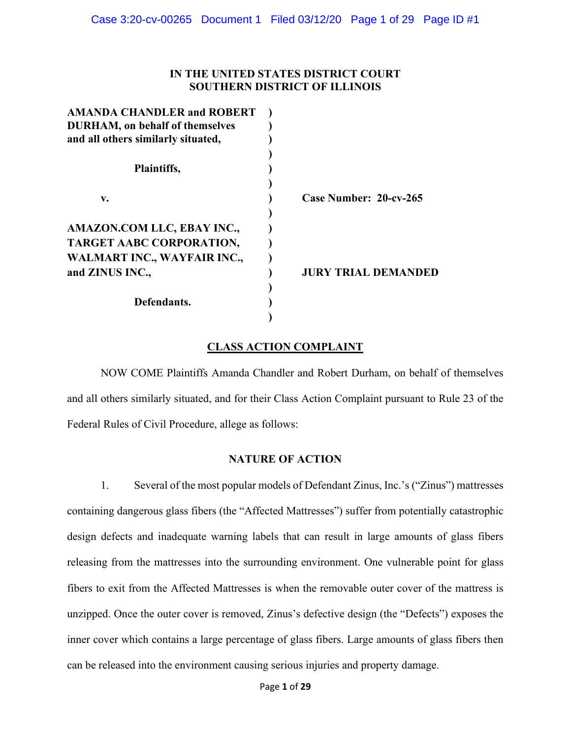## **IN THE UNITED STATES DISTRICT COURT SOUTHERN DISTRICT OF ILLINOIS**

| <b>AMANDA CHANDLER and ROBERT</b>      |                        |
|----------------------------------------|------------------------|
| <b>DURHAM, on behalf of themselves</b> |                        |
| and all others similarly situated,     |                        |
|                                        |                        |
| Plaintiffs,                            |                        |
|                                        |                        |
| v.                                     | Case Number: 20-cv-265 |
|                                        |                        |
| AMAZON.COM LLC, EBAY INC.,             |                        |
| TARGET AABC CORPORATION,               |                        |
| WALMART INC., WAYFAIR INC.,            |                        |
| and ZINUS INC.,                        | JURY TRIAL DEMANDED    |
|                                        |                        |
| Defendants.                            |                        |
|                                        |                        |

# **CLASS ACTION COMPLAINT**

NOW COME Plaintiffs Amanda Chandler and Robert Durham, on behalf of themselves and all others similarly situated, and for their Class Action Complaint pursuant to Rule 23 of the Federal Rules of Civil Procedure, allege as follows:

## **NATURE OF ACTION**

1. Several of the most popular models of Defendant Zinus, Inc.'s ("Zinus") mattresses containing dangerous glass fibers (the "Affected Mattresses") suffer from potentially catastrophic design defects and inadequate warning labels that can result in large amounts of glass fibers releasing from the mattresses into the surrounding environment. One vulnerable point for glass fibers to exit from the Affected Mattresses is when the removable outer cover of the mattress is unzipped. Once the outer cover is removed, Zinus's defective design (the "Defects") exposes the inner cover which contains a large percentage of glass fibers. Large amounts of glass fibers then can be released into the environment causing serious injuries and property damage.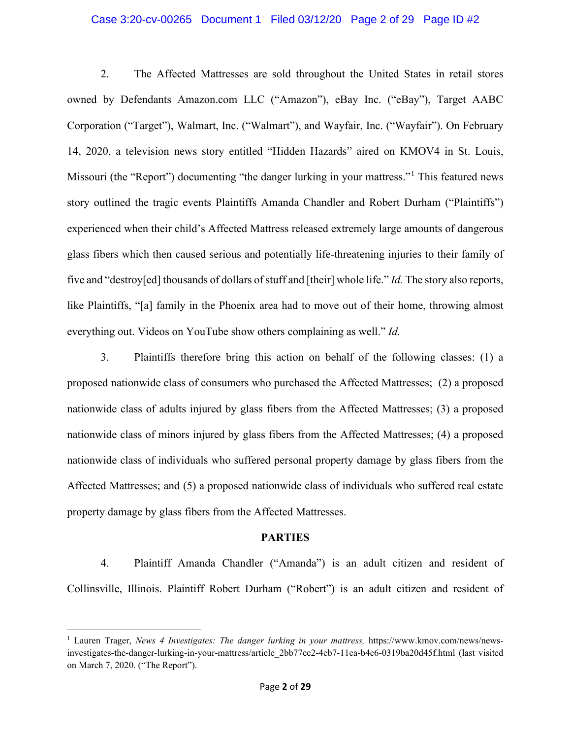#### Case 3:20-cv-00265 Document 1 Filed 03/12/20 Page 2 of 29 Page ID #2

2. The Affected Mattresses are sold throughout the United States in retail stores owned by Defendants Amazon.com LLC ("Amazon"), eBay Inc. ("eBay"), Target AABC Corporation ("Target"), Walmart, Inc. ("Walmart"), and Wayfair, Inc. ("Wayfair"). On February 14, 2020, a television news story entitled "Hidden Hazards" aired on KMOV4 in St. Louis, Missouri (the "Report") documenting "the danger lurking in your mattress."<sup>[1](#page-1-0)</sup> This featured news story outlined the tragic events Plaintiffs Amanda Chandler and Robert Durham ("Plaintiffs") experienced when their child's Affected Mattress released extremely large amounts of dangerous glass fibers which then caused serious and potentially life-threatening injuries to their family of five and "destroy[ed] thousands of dollars of stuff and [their] whole life." *Id.* The story also reports, like Plaintiffs, "[a] family in the Phoenix area had to move out of their home, throwing almost everything out. Videos on YouTube show others complaining as well." *Id.*

3. Plaintiffs therefore bring this action on behalf of the following classes: (1) a proposed nationwide class of consumers who purchased the Affected Mattresses; (2) a proposed nationwide class of adults injured by glass fibers from the Affected Mattresses; (3) a proposed nationwide class of minors injured by glass fibers from the Affected Mattresses; (4) a proposed nationwide class of individuals who suffered personal property damage by glass fibers from the Affected Mattresses; and (5) a proposed nationwide class of individuals who suffered real estate property damage by glass fibers from the Affected Mattresses.

#### **PARTIES**

4. Plaintiff Amanda Chandler ("Amanda") is an adult citizen and resident of Collinsville, Illinois. Plaintiff Robert Durham ("Robert") is an adult citizen and resident of

<span id="page-1-0"></span><sup>&</sup>lt;sup>1</sup> Lauren Trager, *News 4 Investigates: The danger lurking in your mattress*, https://www.kmov.com/news/newsinvestigates-the-danger-lurking-in-your-mattress/article\_2bb77cc2-4eb7-11ea-b4c6-0319ba20d45f.html (last visited on March 7, 2020. ("The Report").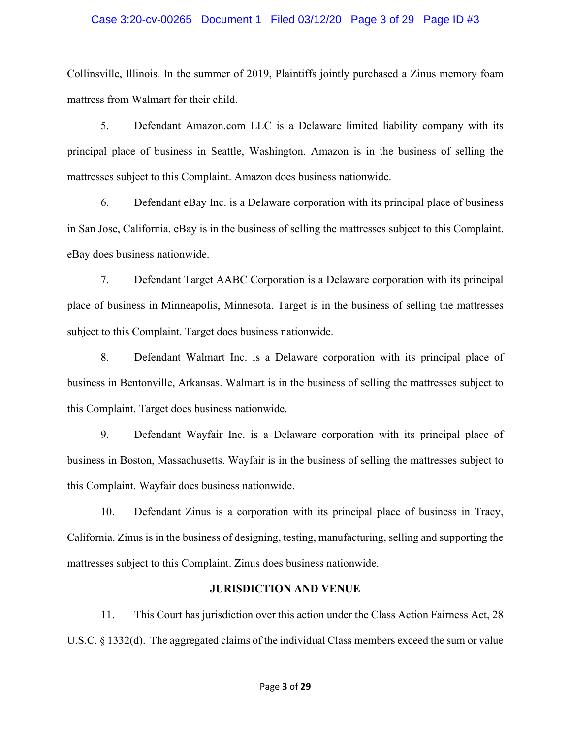#### Case 3:20-cv-00265 Document 1 Filed 03/12/20 Page 3 of 29 Page ID #3

Collinsville, Illinois. In the summer of 2019, Plaintiffs jointly purchased a Zinus memory foam mattress from Walmart for their child.

5. Defendant Amazon.com LLC is a Delaware limited liability company with its principal place of business in Seattle, Washington. Amazon is in the business of selling the mattresses subject to this Complaint. Amazon does business nationwide.

6. Defendant eBay Inc. is a Delaware corporation with its principal place of business in San Jose, California. eBay is in the business of selling the mattresses subject to this Complaint. eBay does business nationwide.

7. Defendant Target AABC Corporation is a Delaware corporation with its principal place of business in Minneapolis, Minnesota. Target is in the business of selling the mattresses subject to this Complaint. Target does business nationwide.

8. Defendant Walmart Inc. is a Delaware corporation with its principal place of business in Bentonville, Arkansas. Walmart is in the business of selling the mattresses subject to this Complaint. Target does business nationwide.

9. Defendant Wayfair Inc. is a Delaware corporation with its principal place of business in Boston, Massachusetts. Wayfair is in the business of selling the mattresses subject to this Complaint. Wayfair does business nationwide.

10. Defendant Zinus is a corporation with its principal place of business in Tracy, California. Zinus is in the business of designing, testing, manufacturing, selling and supporting the mattresses subject to this Complaint. Zinus does business nationwide.

#### **JURISDICTION AND VENUE**

11. This Court has jurisdiction over this action under the Class Action Fairness Act, 28 U.S.C. § 1332(d). The aggregated claims of the individual Class members exceed the sum or value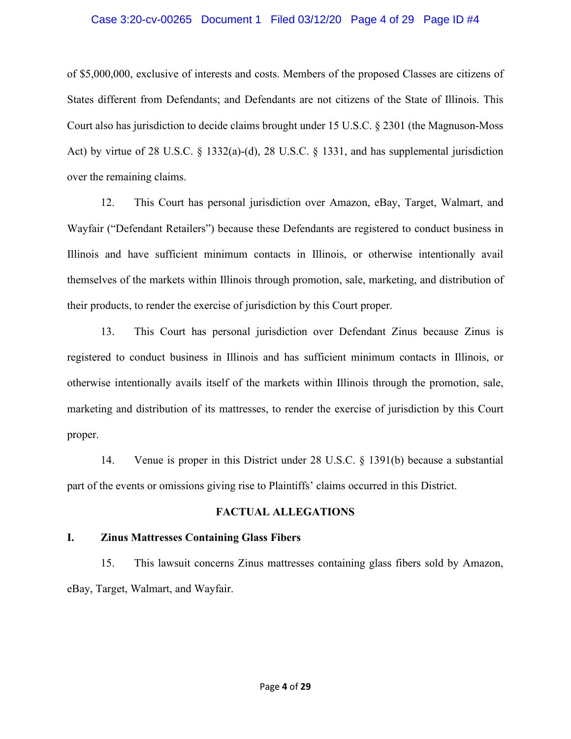## Case 3:20-cv-00265 Document 1 Filed 03/12/20 Page 4 of 29 Page ID #4

of \$5,000,000, exclusive of interests and costs. Members of the proposed Classes are citizens of States different from Defendants; and Defendants are not citizens of the State of Illinois. This Court also has jurisdiction to decide claims brought under 15 U.S.C. § 2301 (the Magnuson-Moss Act) by virtue of 28 U.S.C. § 1332(a)-(d), 28 U.S.C. § 1331, and has supplemental jurisdiction over the remaining claims.

12. This Court has personal jurisdiction over Amazon, eBay, Target, Walmart, and Wayfair ("Defendant Retailers") because these Defendants are registered to conduct business in Illinois and have sufficient minimum contacts in Illinois, or otherwise intentionally avail themselves of the markets within Illinois through promotion, sale, marketing, and distribution of their products, to render the exercise of jurisdiction by this Court proper.

13. This Court has personal jurisdiction over Defendant Zinus because Zinus is registered to conduct business in Illinois and has sufficient minimum contacts in Illinois, or otherwise intentionally avails itself of the markets within Illinois through the promotion, sale, marketing and distribution of its mattresses, to render the exercise of jurisdiction by this Court proper.

14. Venue is proper in this District under 28 U.S.C. § 1391(b) because a substantial part of the events or omissions giving rise to Plaintiffs' claims occurred in this District.

## **FACTUAL ALLEGATIONS**

## **I. Zinus Mattresses Containing Glass Fibers**

15. This lawsuit concerns Zinus mattresses containing glass fibers sold by Amazon, eBay, Target, Walmart, and Wayfair.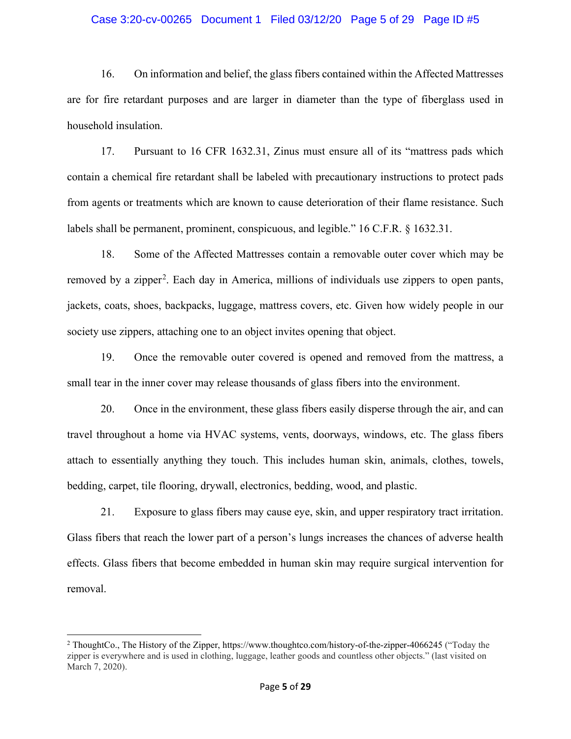#### Case 3:20-cv-00265 Document 1 Filed 03/12/20 Page 5 of 29 Page ID #5

16. On information and belief, the glass fibers contained within the Affected Mattresses are for fire retardant purposes and are larger in diameter than the type of fiberglass used in household insulation.

17. Pursuant to 16 CFR 1632.31, Zinus must ensure all of its "mattress pads which contain a chemical fire retardant shall be labeled with precautionary instructions to protect pads from agents or treatments which are known to cause deterioration of their flame resistance. Such labels shall be permanent, prominent, conspicuous, and legible." 16 C.F.R. § 1632.31.

18. Some of the Affected Mattresses contain a removable outer cover which may be removed by a zipper<sup>[2](#page-4-0)</sup>. Each day in America, millions of individuals use zippers to open pants, jackets, coats, shoes, backpacks, luggage, mattress covers, etc. Given how widely people in our society use zippers, attaching one to an object invites opening that object.

19. Once the removable outer covered is opened and removed from the mattress, a small tear in the inner cover may release thousands of glass fibers into the environment.

20. Once in the environment, these glass fibers easily disperse through the air, and can travel throughout a home via HVAC systems, vents, doorways, windows, etc. The glass fibers attach to essentially anything they touch. This includes human skin, animals, clothes, towels, bedding, carpet, tile flooring, drywall, electronics, bedding, wood, and plastic.

21. Exposure to glass fibers may cause eye, skin, and upper respiratory tract irritation. Glass fibers that reach the lower part of a person's lungs increases the chances of adverse health effects. Glass fibers that become embedded in human skin may require surgical intervention for removal.

<span id="page-4-0"></span><sup>2</sup> ThoughtCo., The History of the Zipper, https://www.thoughtco.com/history-of-the-zipper-4066245 ("Today the zipper is everywhere and is used in clothing, luggage, leather goods and countless other objects." (last visited on March 7, 2020).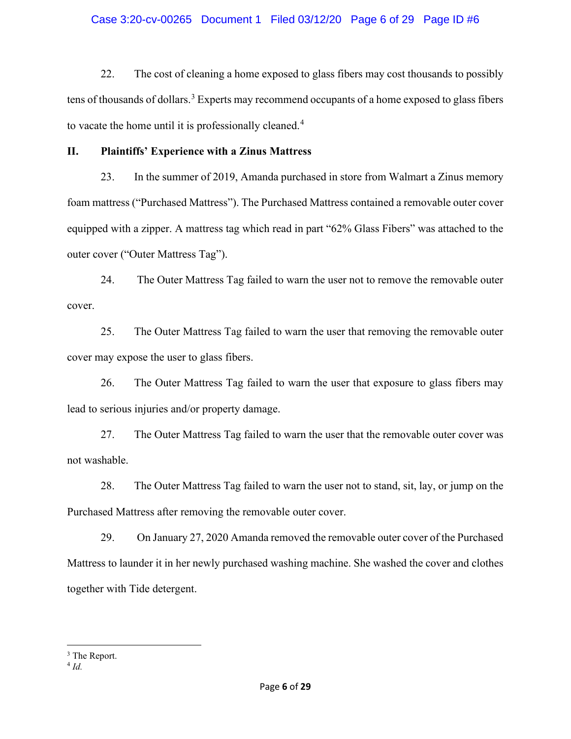## Case 3:20-cv-00265 Document 1 Filed 03/12/20 Page 6 of 29 Page ID #6

22. The cost of cleaning a home exposed to glass fibers may cost thousands to possibly tens of thousands of dollars.<sup>[3](#page-5-0)</sup> Experts may recommend occupants of a home exposed to glass fibers to vacate the home until it is professionally cleaned.<sup>[4](#page-5-1)</sup>

## **II. Plaintiffs' Experience with a Zinus Mattress**

23. In the summer of 2019, Amanda purchased in store from Walmart a Zinus memory foam mattress ("Purchased Mattress"). The Purchased Mattress contained a removable outer cover equipped with a zipper. A mattress tag which read in part "62% Glass Fibers" was attached to the outer cover ("Outer Mattress Tag").

24. The Outer Mattress Tag failed to warn the user not to remove the removable outer cover.

25. The Outer Mattress Tag failed to warn the user that removing the removable outer cover may expose the user to glass fibers.

26. The Outer Mattress Tag failed to warn the user that exposure to glass fibers may lead to serious injuries and/or property damage.

27. The Outer Mattress Tag failed to warn the user that the removable outer cover was not washable.

28. The Outer Mattress Tag failed to warn the user not to stand, sit, lay, or jump on the Purchased Mattress after removing the removable outer cover.

29. On January 27, 2020 Amanda removed the removable outer cover of the Purchased Mattress to launder it in her newly purchased washing machine. She washed the cover and clothes together with Tide detergent.

<span id="page-5-0"></span><sup>&</sup>lt;sup>3</sup> The Report.

<span id="page-5-1"></span><sup>4</sup> *Id.*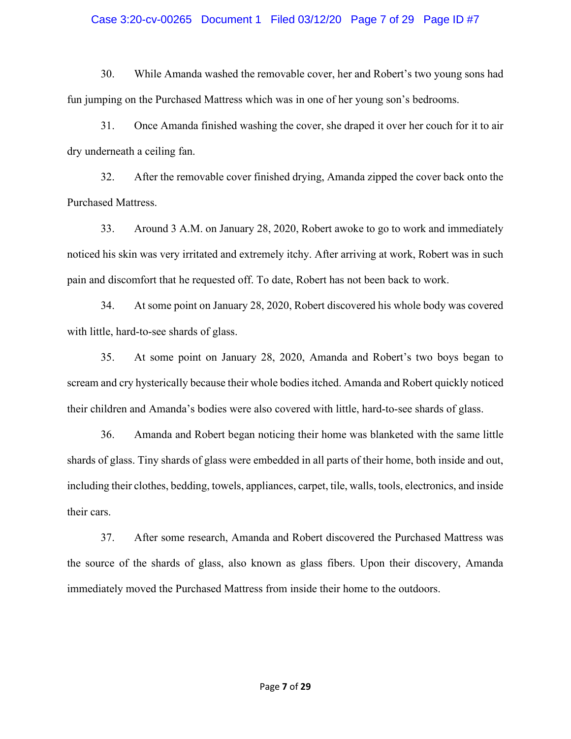#### Case 3:20-cv-00265 Document 1 Filed 03/12/20 Page 7 of 29 Page ID #7

30. While Amanda washed the removable cover, her and Robert's two young sons had fun jumping on the Purchased Mattress which was in one of her young son's bedrooms.

31. Once Amanda finished washing the cover, she draped it over her couch for it to air dry underneath a ceiling fan.

32. After the removable cover finished drying, Amanda zipped the cover back onto the Purchased Mattress.

33. Around 3 A.M. on January 28, 2020, Robert awoke to go to work and immediately noticed his skin was very irritated and extremely itchy. After arriving at work, Robert was in such pain and discomfort that he requested off. To date, Robert has not been back to work.

34. At some point on January 28, 2020, Robert discovered his whole body was covered with little, hard-to-see shards of glass.

35. At some point on January 28, 2020, Amanda and Robert's two boys began to scream and cry hysterically because their whole bodies itched. Amanda and Robert quickly noticed their children and Amanda's bodies were also covered with little, hard-to-see shards of glass.

36. Amanda and Robert began noticing their home was blanketed with the same little shards of glass. Tiny shards of glass were embedded in all parts of their home, both inside and out, including their clothes, bedding, towels, appliances, carpet, tile, walls, tools, electronics, and inside their cars.

37. After some research, Amanda and Robert discovered the Purchased Mattress was the source of the shards of glass, also known as glass fibers. Upon their discovery, Amanda immediately moved the Purchased Mattress from inside their home to the outdoors.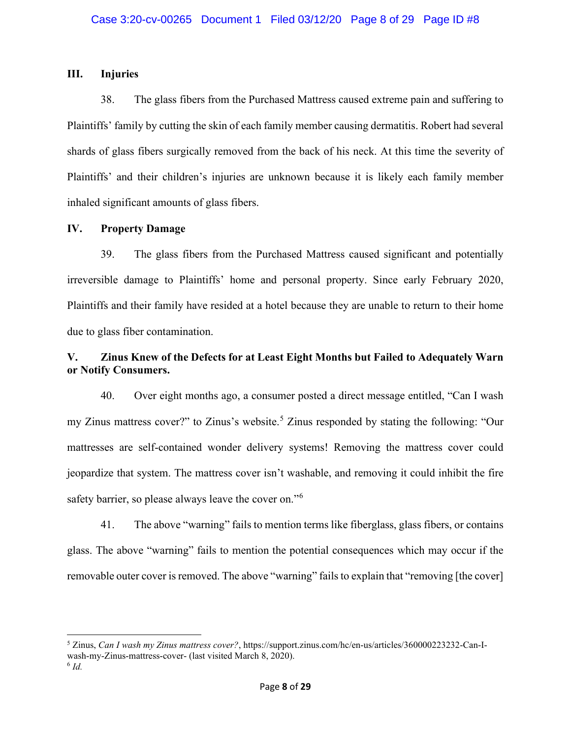## **III. Injuries**

38. The glass fibers from the Purchased Mattress caused extreme pain and suffering to Plaintiffs' family by cutting the skin of each family member causing dermatitis. Robert had several shards of glass fibers surgically removed from the back of his neck. At this time the severity of Plaintiffs' and their children's injuries are unknown because it is likely each family member inhaled significant amounts of glass fibers.

## **IV. Property Damage**

39. The glass fibers from the Purchased Mattress caused significant and potentially irreversible damage to Plaintiffs' home and personal property. Since early February 2020, Plaintiffs and their family have resided at a hotel because they are unable to return to their home due to glass fiber contamination.

# **V. Zinus Knew of the Defects for at Least Eight Months but Failed to Adequately Warn or Notify Consumers.**

40. Over eight months ago, a consumer posted a direct message entitled, "Can I wash my Zinus mattress cover?" to Zinus's website.<sup>[5](#page-7-0)</sup> Zinus responded by stating the following: "Our mattresses are self-contained wonder delivery systems! Removing the mattress cover could jeopardize that system. The mattress cover isn't washable, and removing it could inhibit the fire safety barrier, so please always leave the cover on."<sup>[6](#page-7-1)</sup>

41. The above "warning" fails to mention terms like fiberglass, glass fibers, or contains glass. The above "warning" fails to mention the potential consequences which may occur if the removable outer cover is removed. The above "warning" fails to explain that "removing [the cover]

<span id="page-7-0"></span><sup>5</sup> Zinus, *Can I wash my Zinus mattress cover?*, https://support.zinus.com/hc/en-us/articles/360000223232-Can-Iwash-my-Zinus-mattress-cover- (last visited March 8, 2020).

<span id="page-7-1"></span><sup>6</sup> *Id.*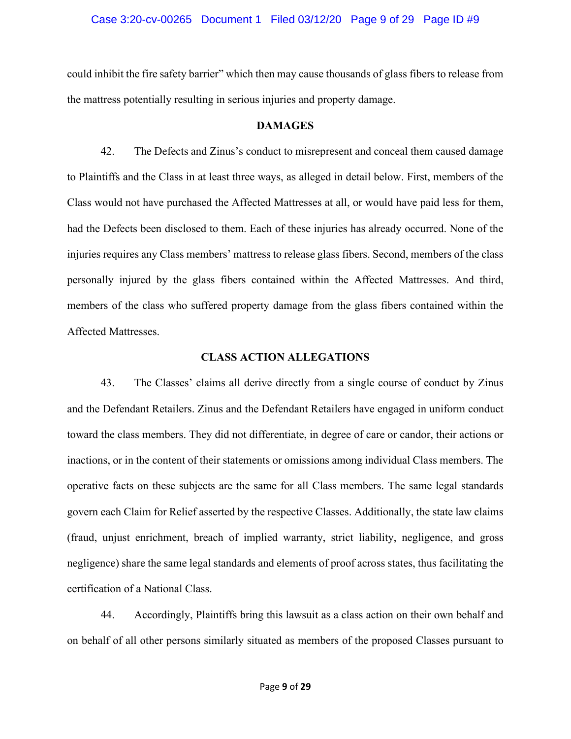## Case 3:20-cv-00265 Document 1 Filed 03/12/20 Page 9 of 29 Page ID #9

could inhibit the fire safety barrier" which then may cause thousands of glass fibers to release from the mattress potentially resulting in serious injuries and property damage.

#### **DAMAGES**

42. The Defects and Zinus's conduct to misrepresent and conceal them caused damage to Plaintiffs and the Class in at least three ways, as alleged in detail below. First, members of the Class would not have purchased the Affected Mattresses at all, or would have paid less for them, had the Defects been disclosed to them. Each of these injuries has already occurred. None of the injuries requires any Class members' mattress to release glass fibers. Second, members of the class personally injured by the glass fibers contained within the Affected Mattresses. And third, members of the class who suffered property damage from the glass fibers contained within the Affected Mattresses.

## **CLASS ACTION ALLEGATIONS**

43. The Classes' claims all derive directly from a single course of conduct by Zinus and the Defendant Retailers. Zinus and the Defendant Retailers have engaged in uniform conduct toward the class members. They did not differentiate, in degree of care or candor, their actions or inactions, or in the content of their statements or omissions among individual Class members. The operative facts on these subjects are the same for all Class members. The same legal standards govern each Claim for Relief asserted by the respective Classes. Additionally, the state law claims (fraud, unjust enrichment, breach of implied warranty, strict liability, negligence, and gross negligence) share the same legal standards and elements of proof across states, thus facilitating the certification of a National Class.

44. Accordingly, Plaintiffs bring this lawsuit as a class action on their own behalf and on behalf of all other persons similarly situated as members of the proposed Classes pursuant to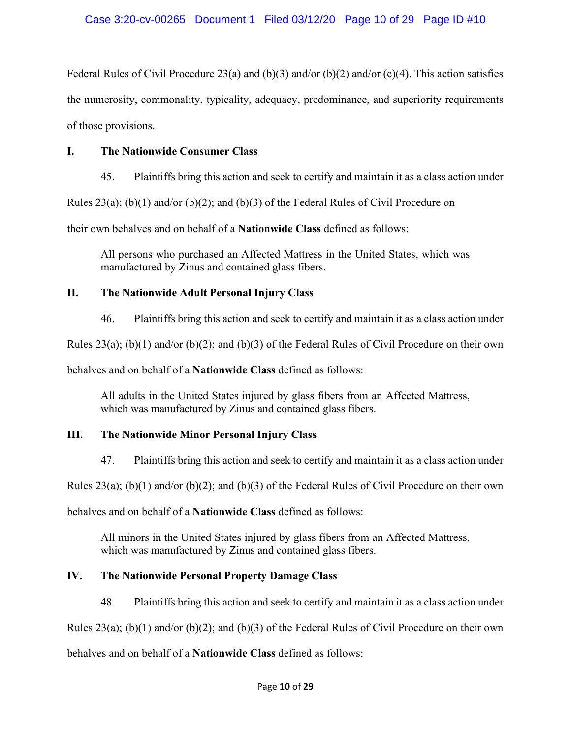Federal Rules of Civil Procedure 23(a) and (b)(3) and/or (b)(2) and/or (c)(4). This action satisfies the numerosity, commonality, typicality, adequacy, predominance, and superiority requirements of those provisions.

# **I. The Nationwide Consumer Class**

45. Plaintiffs bring this action and seek to certify and maintain it as a class action under

Rules 23(a); (b)(1) and/or (b)(2); and (b)(3) of the Federal Rules of Civil Procedure on

their own behalves and on behalf of a **Nationwide Class** defined as follows:

All persons who purchased an Affected Mattress in the United States, which was manufactured by Zinus and contained glass fibers.

# **II. The Nationwide Adult Personal Injury Class**

46. Plaintiffs bring this action and seek to certify and maintain it as a class action under

Rules 23(a); (b)(1) and/or (b)(2); and (b)(3) of the Federal Rules of Civil Procedure on their own

behalves and on behalf of a **Nationwide Class** defined as follows:

All adults in the United States injured by glass fibers from an Affected Mattress, which was manufactured by Zinus and contained glass fibers.

# **III. The Nationwide Minor Personal Injury Class**

47. Plaintiffs bring this action and seek to certify and maintain it as a class action under

Rules 23(a); (b)(1) and/or (b)(2); and (b)(3) of the Federal Rules of Civil Procedure on their own

behalves and on behalf of a **Nationwide Class** defined as follows:

All minors in the United States injured by glass fibers from an Affected Mattress, which was manufactured by Zinus and contained glass fibers.

# **IV. The Nationwide Personal Property Damage Class**

48. Plaintiffs bring this action and seek to certify and maintain it as a class action under

Rules 23(a); (b)(1) and/or (b)(2); and (b)(3) of the Federal Rules of Civil Procedure on their own

behalves and on behalf of a **Nationwide Class** defined as follows: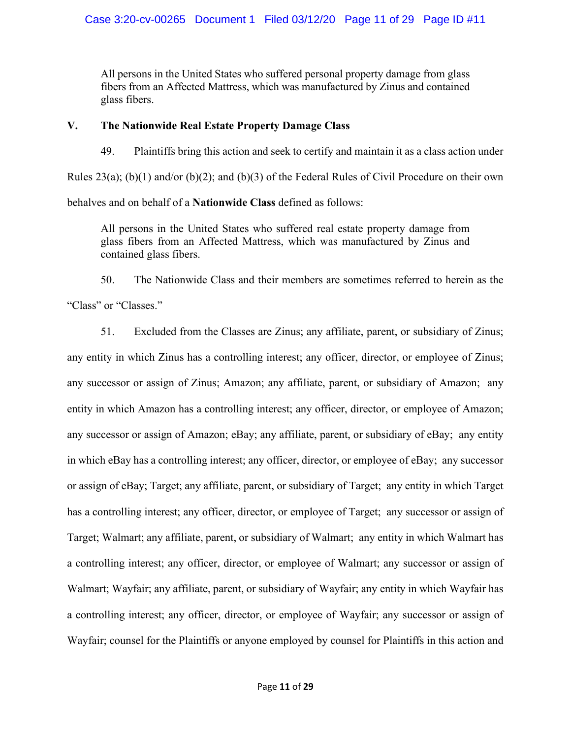All persons in the United States who suffered personal property damage from glass fibers from an Affected Mattress, which was manufactured by Zinus and contained glass fibers.

## **V. The Nationwide Real Estate Property Damage Class**

49. Plaintiffs bring this action and seek to certify and maintain it as a class action under Rules 23(a); (b)(1) and/or (b)(2); and (b)(3) of the Federal Rules of Civil Procedure on their own behalves and on behalf of a **Nationwide Class** defined as follows:

All persons in the United States who suffered real estate property damage from glass fibers from an Affected Mattress, which was manufactured by Zinus and contained glass fibers.

50. The Nationwide Class and their members are sometimes referred to herein as the "Class" or "Classes."

51. Excluded from the Classes are Zinus; any affiliate, parent, or subsidiary of Zinus; any entity in which Zinus has a controlling interest; any officer, director, or employee of Zinus; any successor or assign of Zinus; Amazon; any affiliate, parent, or subsidiary of Amazon; any entity in which Amazon has a controlling interest; any officer, director, or employee of Amazon; any successor or assign of Amazon; eBay; any affiliate, parent, or subsidiary of eBay; any entity in which eBay has a controlling interest; any officer, director, or employee of eBay; any successor or assign of eBay; Target; any affiliate, parent, or subsidiary of Target; any entity in which Target has a controlling interest; any officer, director, or employee of Target; any successor or assign of Target; Walmart; any affiliate, parent, or subsidiary of Walmart; any entity in which Walmart has a controlling interest; any officer, director, or employee of Walmart; any successor or assign of Walmart; Wayfair; any affiliate, parent, or subsidiary of Wayfair; any entity in which Wayfair has a controlling interest; any officer, director, or employee of Wayfair; any successor or assign of Wayfair; counsel for the Plaintiffs or anyone employed by counsel for Plaintiffs in this action and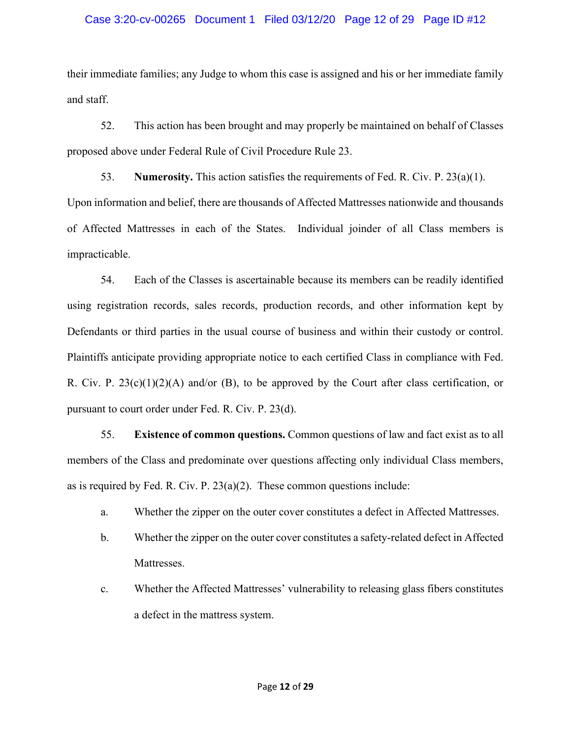## Case 3:20-cv-00265 Document 1 Filed 03/12/20 Page 12 of 29 Page ID #12

their immediate families; any Judge to whom this case is assigned and his or her immediate family and staff.

52. This action has been brought and may properly be maintained on behalf of Classes proposed above under Federal Rule of Civil Procedure Rule 23.

53. **Numerosity.** This action satisfies the requirements of Fed. R. Civ. P. 23(a)(1). Upon information and belief, there are thousands of Affected Mattresses nationwide and thousands of Affected Mattresses in each of the States. Individual joinder of all Class members is impracticable.

54. Each of the Classes is ascertainable because its members can be readily identified using registration records, sales records, production records, and other information kept by Defendants or third parties in the usual course of business and within their custody or control. Plaintiffs anticipate providing appropriate notice to each certified Class in compliance with Fed. R. Civ. P.  $23(c)(1)(2)(A)$  and/or (B), to be approved by the Court after class certification, or pursuant to court order under Fed. R. Civ. P. 23(d).

55. **Existence of common questions.** Common questions of law and fact exist as to all members of the Class and predominate over questions affecting only individual Class members, as is required by Fed. R. Civ. P.  $23(a)(2)$ . These common questions include:

- a. Whether the zipper on the outer cover constitutes a defect in Affected Mattresses.
- b. Whether the zipper on the outer cover constitutes a safety-related defect in Affected Mattresses.
- c. Whether the Affected Mattresses' vulnerability to releasing glass fibers constitutes a defect in the mattress system.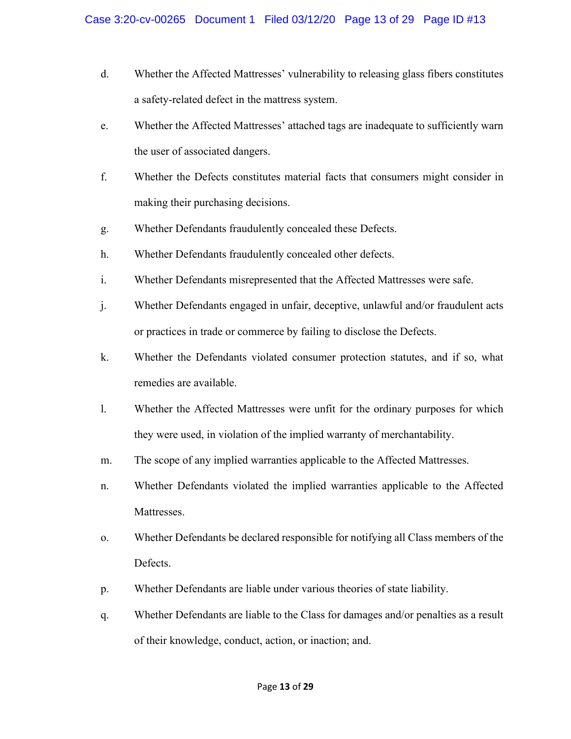- d. Whether the Affected Mattresses' vulnerability to releasing glass fibers constitutes a safety-related defect in the mattress system.
- e. Whether the Affected Mattresses' attached tags are inadequate to sufficiently warn the user of associated dangers.
- f. Whether the Defects constitutes material facts that consumers might consider in making their purchasing decisions.
- g. Whether Defendants fraudulently concealed these Defects.
- h. Whether Defendants fraudulently concealed other defects.
- i. Whether Defendants misrepresented that the Affected Mattresses were safe.
- j. Whether Defendants engaged in unfair, deceptive, unlawful and/or fraudulent acts or practices in trade or commerce by failing to disclose the Defects.
- k. Whether the Defendants violated consumer protection statutes, and if so, what remedies are available.
- l. Whether the Affected Mattresses were unfit for the ordinary purposes for which they were used, in violation of the implied warranty of merchantability.
- m. The scope of any implied warranties applicable to the Affected Mattresses.
- n. Whether Defendants violated the implied warranties applicable to the Affected Mattresses.
- o. Whether Defendants be declared responsible for notifying all Class members of the Defects.
- p. Whether Defendants are liable under various theories of state liability.
- q. Whether Defendants are liable to the Class for damages and/or penalties as a result of their knowledge, conduct, action, or inaction; and.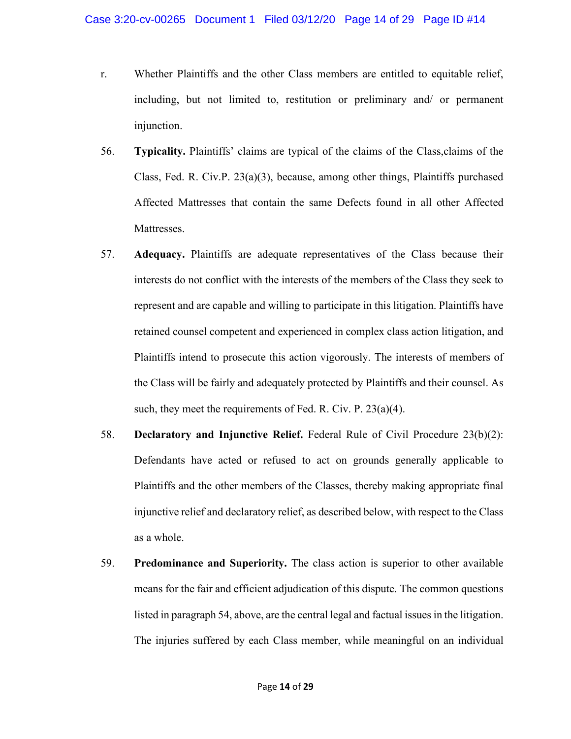- r. Whether Plaintiffs and the other Class members are entitled to equitable relief, including, but not limited to, restitution or preliminary and/ or permanent injunction.
- 56. **Typicality.** Plaintiffs' claims are typical of the claims of the Class,claims of the Class, Fed. R. Civ.P.  $23(a)(3)$ , because, among other things, Plaintiffs purchased Affected Mattresses that contain the same Defects found in all other Affected Mattresses.
- 57. **Adequacy.** Plaintiffs are adequate representatives of the Class because their interests do not conflict with the interests of the members of the Class they seek to represent and are capable and willing to participate in this litigation. Plaintiffs have retained counsel competent and experienced in complex class action litigation, and Plaintiffs intend to prosecute this action vigorously. The interests of members of the Class will be fairly and adequately protected by Plaintiffs and their counsel. As such, they meet the requirements of Fed. R. Civ. P. 23(a)(4).
- 58. **Declaratory and Injunctive Relief.** Federal Rule of Civil Procedure 23(b)(2): Defendants have acted or refused to act on grounds generally applicable to Plaintiffs and the other members of the Classes, thereby making appropriate final injunctive relief and declaratory relief, as described below, with respect to the Class as a whole.
- 59. **Predominance and Superiority.** The class action is superior to other available means for the fair and efficient adjudication of this dispute. The common questions listed in paragraph 54, above, are the central legal and factual issues in the litigation. The injuries suffered by each Class member, while meaningful on an individual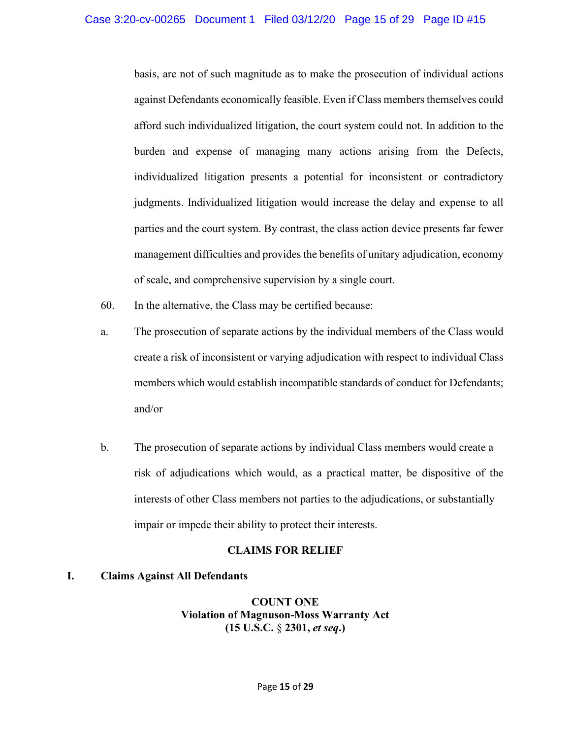basis, are not of such magnitude as to make the prosecution of individual actions against Defendants economically feasible. Even if Class members themselves could afford such individualized litigation, the court system could not. In addition to the burden and expense of managing many actions arising from the Defects, individualized litigation presents a potential for inconsistent or contradictory judgments. Individualized litigation would increase the delay and expense to all parties and the court system. By contrast, the class action device presents far fewer management difficulties and provides the benefits of unitary adjudication, economy of scale, and comprehensive supervision by a single court.

- 60. In the alternative, the Class may be certified because:
- a. The prosecution of separate actions by the individual members of the Class would create a risk of inconsistent or varying adjudication with respect to individual Class members which would establish incompatible standards of conduct for Defendants; and/or
- b. The prosecution of separate actions by individual Class members would create a risk of adjudications which would, as a practical matter, be dispositive of the interests of other Class members not parties to the adjudications, or substantially impair or impede their ability to protect their interests.

## **CLAIMS FOR RELIEF**

## **I. Claims Against All Defendants**

**COUNT ONE Violation of Magnuson-Moss Warranty Act (15 U.S.C.** § **2301,** *et seq***.)**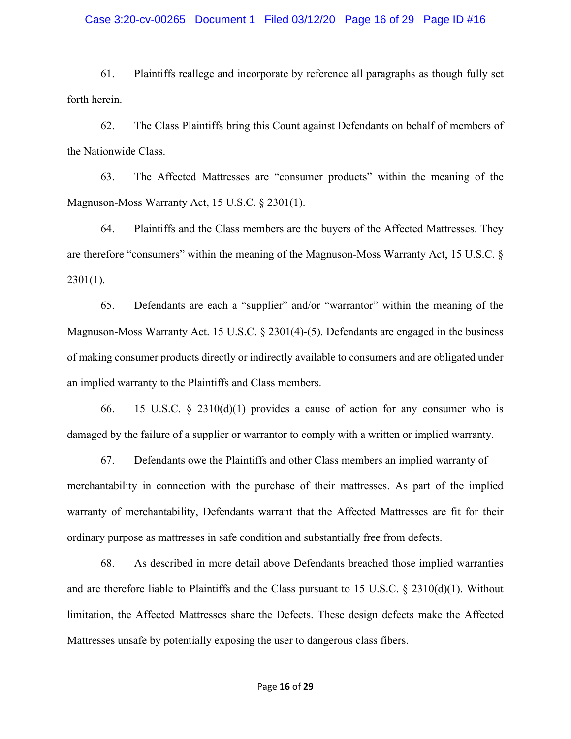#### Case 3:20-cv-00265 Document 1 Filed 03/12/20 Page 16 of 29 Page ID #16

61. Plaintiffs reallege and incorporate by reference all paragraphs as though fully set forth herein.

62. The Class Plaintiffs bring this Count against Defendants on behalf of members of the Nationwide Class.

63. The Affected Mattresses are "consumer products" within the meaning of the Magnuson-Moss Warranty Act, 15 U.S.C. § 2301(1).

64. Plaintiffs and the Class members are the buyers of the Affected Mattresses. They are therefore "consumers" within the meaning of the Magnuson-Moss Warranty Act, 15 U.S.C. §  $2301(1)$ .

65. Defendants are each a "supplier" and/or "warrantor" within the meaning of the Magnuson-Moss Warranty Act. 15 U.S.C. § 2301(4)-(5). Defendants are engaged in the business of making consumer products directly or indirectly available to consumers and are obligated under an implied warranty to the Plaintiffs and Class members.

66. 15 U.S.C. § 2310(d)(1) provides a cause of action for any consumer who is damaged by the failure of a supplier or warrantor to comply with a written or implied warranty.

67. Defendants owe the Plaintiffs and other Class members an implied warranty of merchantability in connection with the purchase of their mattresses. As part of the implied warranty of merchantability, Defendants warrant that the Affected Mattresses are fit for their ordinary purpose as mattresses in safe condition and substantially free from defects.

68. As described in more detail above Defendants breached those implied warranties and are therefore liable to Plaintiffs and the Class pursuant to 15 U.S.C. § 2310(d)(1). Without limitation, the Affected Mattresses share the Defects. These design defects make the Affected Mattresses unsafe by potentially exposing the user to dangerous class fibers.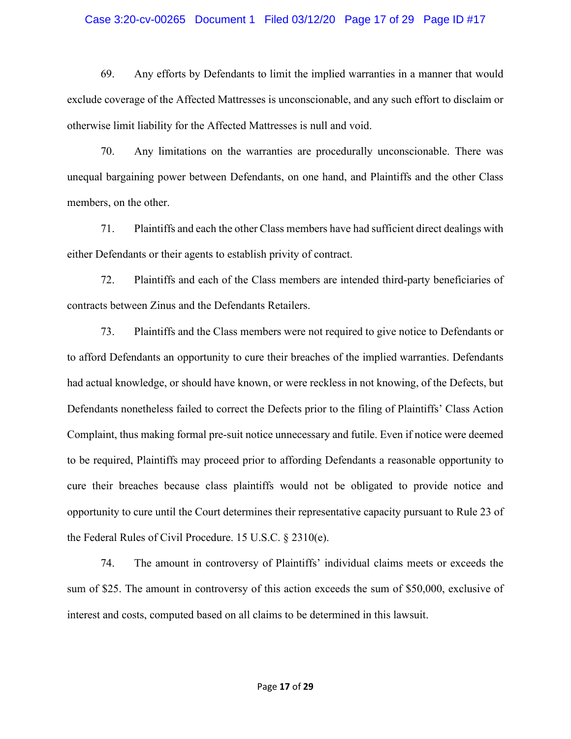#### Case 3:20-cv-00265 Document 1 Filed 03/12/20 Page 17 of 29 Page ID #17

69. Any efforts by Defendants to limit the implied warranties in a manner that would exclude coverage of the Affected Mattresses is unconscionable, and any such effort to disclaim or otherwise limit liability for the Affected Mattresses is null and void.

70. Any limitations on the warranties are procedurally unconscionable. There was unequal bargaining power between Defendants, on one hand, and Plaintiffs and the other Class members, on the other.

71. Plaintiffs and each the other Class members have had sufficient direct dealings with either Defendants or their agents to establish privity of contract.

72. Plaintiffs and each of the Class members are intended third-party beneficiaries of contracts between Zinus and the Defendants Retailers.

73. Plaintiffs and the Class members were not required to give notice to Defendants or to afford Defendants an opportunity to cure their breaches of the implied warranties. Defendants had actual knowledge, or should have known, or were reckless in not knowing, of the Defects, but Defendants nonetheless failed to correct the Defects prior to the filing of Plaintiffs' Class Action Complaint, thus making formal pre-suit notice unnecessary and futile. Even if notice were deemed to be required, Plaintiffs may proceed prior to affording Defendants a reasonable opportunity to cure their breaches because class plaintiffs would not be obligated to provide notice and opportunity to cure until the Court determines their representative capacity pursuant to Rule 23 of the Federal Rules of Civil Procedure. 15 U.S.C. § 2310(e).

74. The amount in controversy of Plaintiffs' individual claims meets or exceeds the sum of \$25. The amount in controversy of this action exceeds the sum of \$50,000, exclusive of interest and costs, computed based on all claims to be determined in this lawsuit.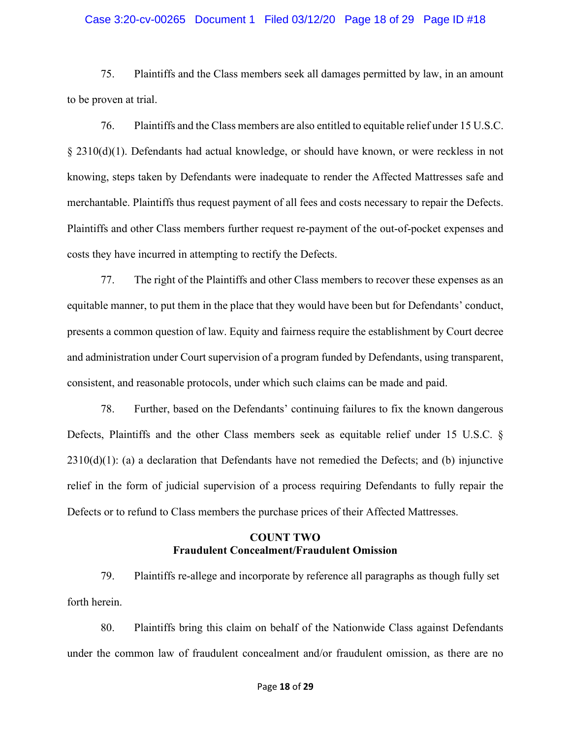#### Case 3:20-cv-00265 Document 1 Filed 03/12/20 Page 18 of 29 Page ID #18

75. Plaintiffs and the Class members seek all damages permitted by law, in an amount to be proven at trial.

76. Plaintiffs and the Class members are also entitled to equitable relief under 15 U.S.C. § 2310(d)(1). Defendants had actual knowledge, or should have known, or were reckless in not knowing, steps taken by Defendants were inadequate to render the Affected Mattresses safe and merchantable. Plaintiffs thus request payment of all fees and costs necessary to repair the Defects. Plaintiffs and other Class members further request re-payment of the out-of-pocket expenses and costs they have incurred in attempting to rectify the Defects.

77. The right of the Plaintiffs and other Class members to recover these expenses as an equitable manner, to put them in the place that they would have been but for Defendants' conduct, presents a common question of law. Equity and fairness require the establishment by Court decree and administration under Court supervision of a program funded by Defendants, using transparent, consistent, and reasonable protocols, under which such claims can be made and paid.

78. Further, based on the Defendants' continuing failures to fix the known dangerous Defects, Plaintiffs and the other Class members seek as equitable relief under 15 U.S.C. §  $2310(d)(1)$ : (a) a declaration that Defendants have not remedied the Defects; and (b) injunctive relief in the form of judicial supervision of a process requiring Defendants to fully repair the Defects or to refund to Class members the purchase prices of their Affected Mattresses.

## **COUNT TWO Fraudulent Concealment/Fraudulent Omission**

79. Plaintiffs re-allege and incorporate by reference all paragraphs as though fully set forth herein.

80. Plaintiffs bring this claim on behalf of the Nationwide Class against Defendants under the common law of fraudulent concealment and/or fraudulent omission, as there are no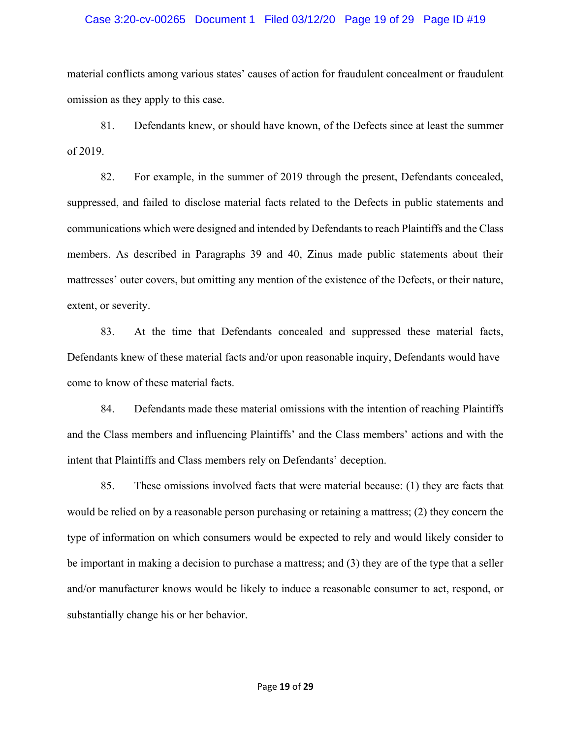#### Case 3:20-cv-00265 Document 1 Filed 03/12/20 Page 19 of 29 Page ID #19

material conflicts among various states' causes of action for fraudulent concealment or fraudulent omission as they apply to this case.

81. Defendants knew, or should have known, of the Defects since at least the summer of 2019.

82. For example, in the summer of 2019 through the present, Defendants concealed, suppressed, and failed to disclose material facts related to the Defects in public statements and communications which were designed and intended by Defendants to reach Plaintiffs and the Class members. As described in Paragraphs 39 and 40, Zinus made public statements about their mattresses' outer covers, but omitting any mention of the existence of the Defects, or their nature, extent, or severity.

83. At the time that Defendants concealed and suppressed these material facts, Defendants knew of these material facts and/or upon reasonable inquiry, Defendants would have come to know of these material facts.

84. Defendants made these material omissions with the intention of reaching Plaintiffs and the Class members and influencing Plaintiffs' and the Class members' actions and with the intent that Plaintiffs and Class members rely on Defendants' deception.

85. These omissions involved facts that were material because: (1) they are facts that would be relied on by a reasonable person purchasing or retaining a mattress; (2) they concern the type of information on which consumers would be expected to rely and would likely consider to be important in making a decision to purchase a mattress; and (3) they are of the type that a seller and/or manufacturer knows would be likely to induce a reasonable consumer to act, respond, or substantially change his or her behavior.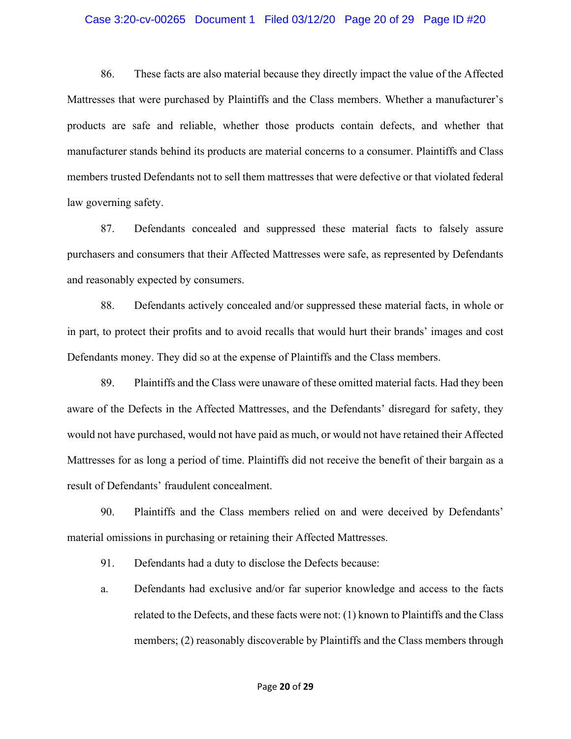#### Case 3:20-cv-00265 Document 1 Filed 03/12/20 Page 20 of 29 Page ID #20

86. These facts are also material because they directly impact the value of the Affected Mattresses that were purchased by Plaintiffs and the Class members. Whether a manufacturer's products are safe and reliable, whether those products contain defects, and whether that manufacturer stands behind its products are material concerns to a consumer. Plaintiffs and Class members trusted Defendants not to sell them mattresses that were defective or that violated federal law governing safety.

87. Defendants concealed and suppressed these material facts to falsely assure purchasers and consumers that their Affected Mattresses were safe, as represented by Defendants and reasonably expected by consumers.

88. Defendants actively concealed and/or suppressed these material facts, in whole or in part, to protect their profits and to avoid recalls that would hurt their brands' images and cost Defendants money. They did so at the expense of Plaintiffs and the Class members.

89. Plaintiffs and the Class were unaware of these omitted material facts. Had they been aware of the Defects in the Affected Mattresses, and the Defendants' disregard for safety, they would not have purchased, would not have paid as much, or would not have retained their Affected Mattresses for as long a period of time. Plaintiffs did not receive the benefit of their bargain as a result of Defendants' fraudulent concealment.

90. Plaintiffs and the Class members relied on and were deceived by Defendants' material omissions in purchasing or retaining their Affected Mattresses.

91. Defendants had a duty to disclose the Defects because:

a. Defendants had exclusive and/or far superior knowledge and access to the facts related to the Defects, and these facts were not: (1) known to Plaintiffs and the Class members; (2) reasonably discoverable by Plaintiffs and the Class members through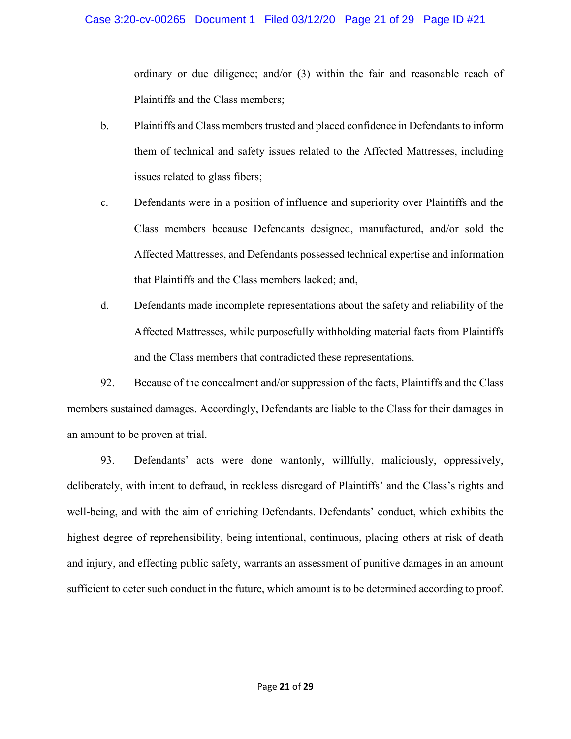## Case 3:20-cv-00265 Document 1 Filed 03/12/20 Page 21 of 29 Page ID #21

ordinary or due diligence; and/or (3) within the fair and reasonable reach of Plaintiffs and the Class members;

- b. Plaintiffs and Class members trusted and placed confidence in Defendants to inform them of technical and safety issues related to the Affected Mattresses, including issues related to glass fibers;
- c. Defendants were in a position of influence and superiority over Plaintiffs and the Class members because Defendants designed, manufactured, and/or sold the Affected Mattresses, and Defendants possessed technical expertise and information that Plaintiffs and the Class members lacked; and,
- d. Defendants made incomplete representations about the safety and reliability of the Affected Mattresses, while purposefully withholding material facts from Plaintiffs and the Class members that contradicted these representations.

92. Because of the concealment and/or suppression of the facts, Plaintiffs and the Class members sustained damages. Accordingly, Defendants are liable to the Class for their damages in an amount to be proven at trial.

93. Defendants' acts were done wantonly, willfully, maliciously, oppressively, deliberately, with intent to defraud, in reckless disregard of Plaintiffs' and the Class's rights and well-being, and with the aim of enriching Defendants. Defendants' conduct, which exhibits the highest degree of reprehensibility, being intentional, continuous, placing others at risk of death and injury, and effecting public safety, warrants an assessment of punitive damages in an amount sufficient to deter such conduct in the future, which amount is to be determined according to proof.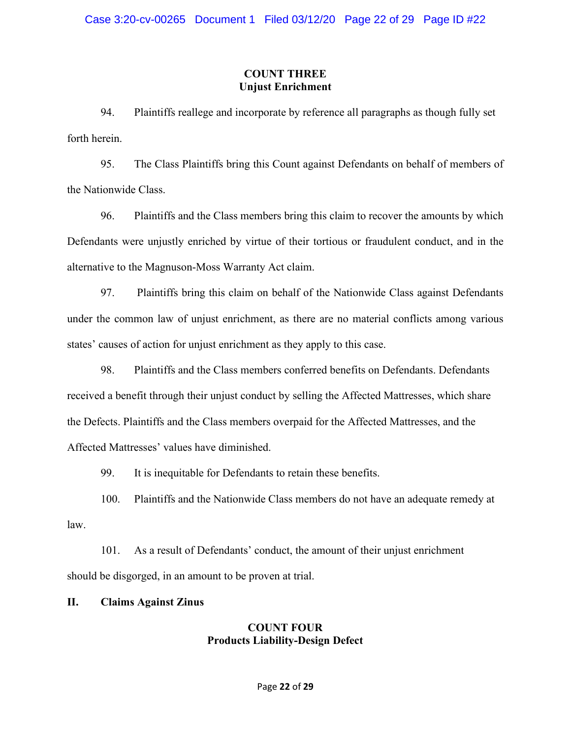## **COUNT THREE Unjust Enrichment**

94. Plaintiffs reallege and incorporate by reference all paragraphs as though fully set forth herein.

95. The Class Plaintiffs bring this Count against Defendants on behalf of members of the Nationwide Class.

96. Plaintiffs and the Class members bring this claim to recover the amounts by which Defendants were unjustly enriched by virtue of their tortious or fraudulent conduct, and in the alternative to the Magnuson-Moss Warranty Act claim.

97. Plaintiffs bring this claim on behalf of the Nationwide Class against Defendants under the common law of unjust enrichment, as there are no material conflicts among various states' causes of action for unjust enrichment as they apply to this case.

98. Plaintiffs and the Class members conferred benefits on Defendants. Defendants received a benefit through their unjust conduct by selling the Affected Mattresses, which share the Defects. Plaintiffs and the Class members overpaid for the Affected Mattresses, and the Affected Mattresses' values have diminished.

99. It is inequitable for Defendants to retain these benefits.

100. Plaintiffs and the Nationwide Class members do not have an adequate remedy at law.

101. As a result of Defendants' conduct, the amount of their unjust enrichment should be disgorged, in an amount to be proven at trial.

# **II. Claims Against Zinus**

## **COUNT FOUR Products Liability-Design Defect**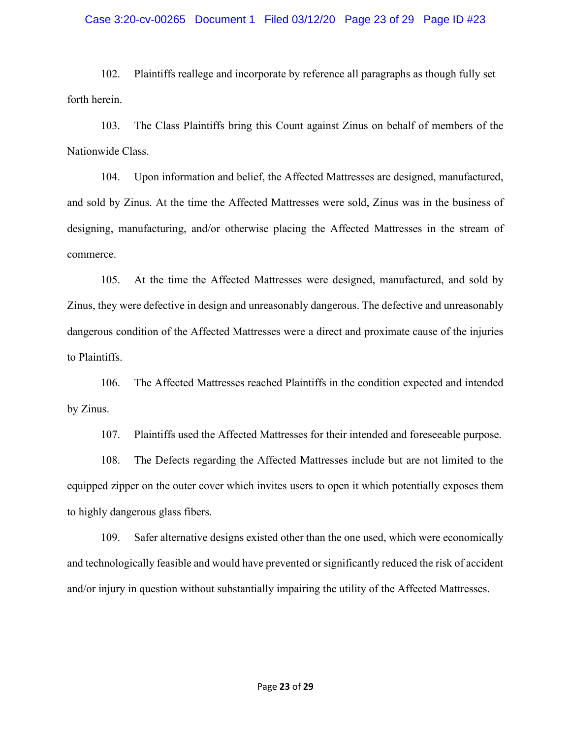#### Case 3:20-cv-00265 Document 1 Filed 03/12/20 Page 23 of 29 Page ID #23

102. Plaintiffs reallege and incorporate by reference all paragraphs as though fully set forth herein.

103. The Class Plaintiffs bring this Count against Zinus on behalf of members of the Nationwide Class.

104. Upon information and belief, the Affected Mattresses are designed, manufactured, and sold by Zinus. At the time the Affected Mattresses were sold, Zinus was in the business of designing, manufacturing, and/or otherwise placing the Affected Mattresses in the stream of commerce.

105. At the time the Affected Mattresses were designed, manufactured, and sold by Zinus, they were defective in design and unreasonably dangerous. The defective and unreasonably dangerous condition of the Affected Mattresses were a direct and proximate cause of the injuries to Plaintiffs.

106. The Affected Mattresses reached Plaintiffs in the condition expected and intended by Zinus.

107. Plaintiffs used the Affected Mattresses for their intended and foreseeable purpose.

108. The Defects regarding the Affected Mattresses include but are not limited to the equipped zipper on the outer cover which invites users to open it which potentially exposes them to highly dangerous glass fibers.

109. Safer alternative designs existed other than the one used, which were economically and technologically feasible and would have prevented or significantly reduced the risk of accident and/or injury in question without substantially impairing the utility of the Affected Mattresses.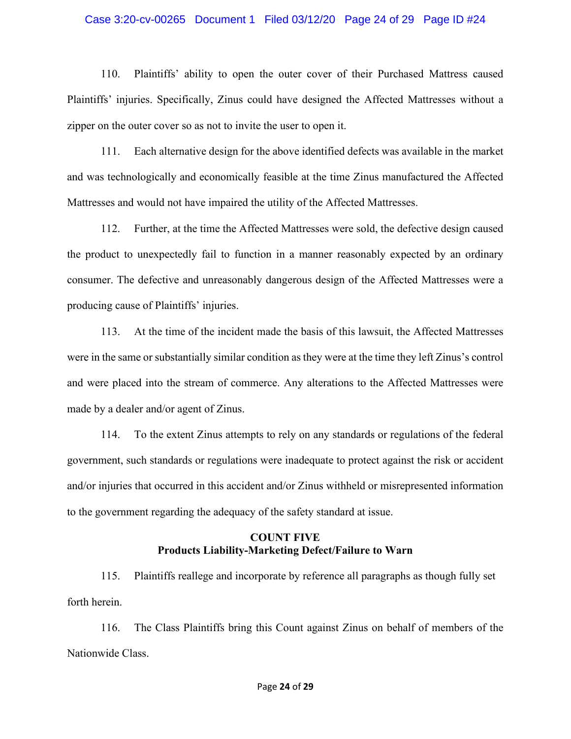#### Case 3:20-cv-00265 Document 1 Filed 03/12/20 Page 24 of 29 Page ID #24

110. Plaintiffs' ability to open the outer cover of their Purchased Mattress caused Plaintiffs' injuries. Specifically, Zinus could have designed the Affected Mattresses without a zipper on the outer cover so as not to invite the user to open it.

111. Each alternative design for the above identified defects was available in the market and was technologically and economically feasible at the time Zinus manufactured the Affected Mattresses and would not have impaired the utility of the Affected Mattresses.

112. Further, at the time the Affected Mattresses were sold, the defective design caused the product to unexpectedly fail to function in a manner reasonably expected by an ordinary consumer. The defective and unreasonably dangerous design of the Affected Mattresses were a producing cause of Plaintiffs' injuries.

113. At the time of the incident made the basis of this lawsuit, the Affected Mattresses were in the same or substantially similar condition as they were at the time they left Zinus's control and were placed into the stream of commerce. Any alterations to the Affected Mattresses were made by a dealer and/or agent of Zinus.

114. To the extent Zinus attempts to rely on any standards or regulations of the federal government, such standards or regulations were inadequate to protect against the risk or accident and/or injuries that occurred in this accident and/or Zinus withheld or misrepresented information to the government regarding the adequacy of the safety standard at issue.

## **COUNT FIVE Products Liability-Marketing Defect/Failure to Warn**

115. Plaintiffs reallege and incorporate by reference all paragraphs as though fully set forth herein.

116. The Class Plaintiffs bring this Count against Zinus on behalf of members of the Nationwide Class.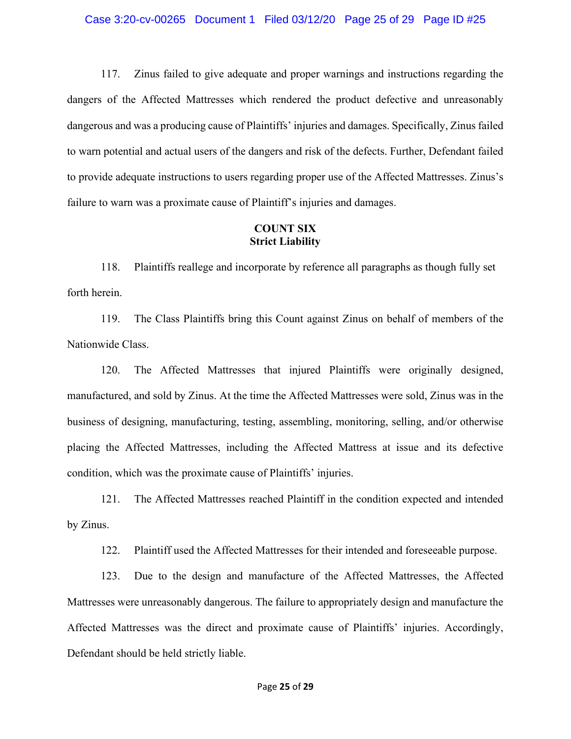117. Zinus failed to give adequate and proper warnings and instructions regarding the dangers of the Affected Mattresses which rendered the product defective and unreasonably dangerous and was a producing cause of Plaintiffs' injuries and damages. Specifically, Zinus failed to warn potential and actual users of the dangers and risk of the defects. Further, Defendant failed to provide adequate instructions to users regarding proper use of the Affected Mattresses. Zinus's failure to warn was a proximate cause of Plaintiff's injuries and damages.

## **COUNT SIX Strict Liability**

118. Plaintiffs reallege and incorporate by reference all paragraphs as though fully set forth herein.

119. The Class Plaintiffs bring this Count against Zinus on behalf of members of the Nationwide Class.

120. The Affected Mattresses that injured Plaintiffs were originally designed, manufactured, and sold by Zinus. At the time the Affected Mattresses were sold, Zinus was in the business of designing, manufacturing, testing, assembling, monitoring, selling, and/or otherwise placing the Affected Mattresses, including the Affected Mattress at issue and its defective condition, which was the proximate cause of Plaintiffs' injuries.

121. The Affected Mattresses reached Plaintiff in the condition expected and intended by Zinus.

122. Plaintiff used the Affected Mattresses for their intended and foreseeable purpose.

123. Due to the design and manufacture of the Affected Mattresses, the Affected Mattresses were unreasonably dangerous. The failure to appropriately design and manufacture the Affected Mattresses was the direct and proximate cause of Plaintiffs' injuries. Accordingly, Defendant should be held strictly liable.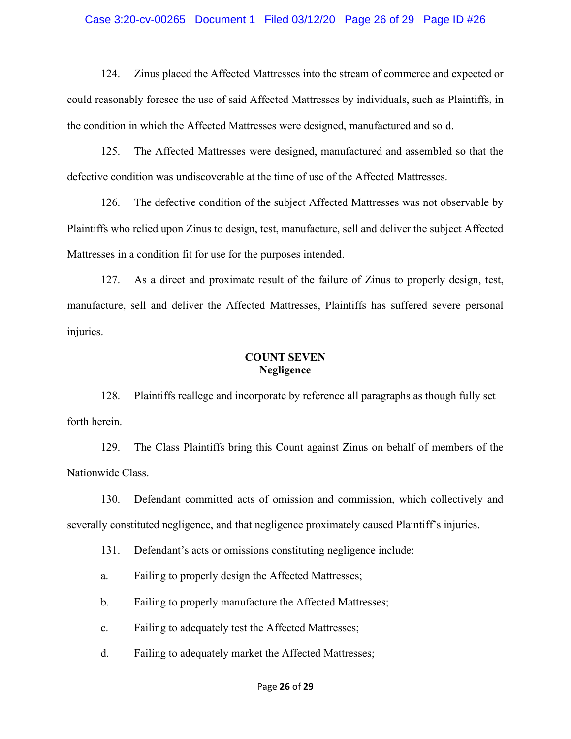#### Case 3:20-cv-00265 Document 1 Filed 03/12/20 Page 26 of 29 Page ID #26

124. Zinus placed the Affected Mattresses into the stream of commerce and expected or could reasonably foresee the use of said Affected Mattresses by individuals, such as Plaintiffs, in the condition in which the Affected Mattresses were designed, manufactured and sold.

125. The Affected Mattresses were designed, manufactured and assembled so that the defective condition was undiscoverable at the time of use of the Affected Mattresses.

126. The defective condition of the subject Affected Mattresses was not observable by Plaintiffs who relied upon Zinus to design, test, manufacture, sell and deliver the subject Affected Mattresses in a condition fit for use for the purposes intended.

127. As a direct and proximate result of the failure of Zinus to properly design, test, manufacture, sell and deliver the Affected Mattresses, Plaintiffs has suffered severe personal injuries.

## **COUNT SEVEN Negligence**

128. Plaintiffs reallege and incorporate by reference all paragraphs as though fully set forth herein.

129. The Class Plaintiffs bring this Count against Zinus on behalf of members of the Nationwide Class.

130. Defendant committed acts of omission and commission, which collectively and severally constituted negligence, and that negligence proximately caused Plaintiff's injuries.

131. Defendant's acts or omissions constituting negligence include:

a. Failing to properly design the Affected Mattresses;

b. Failing to properly manufacture the Affected Mattresses;

c. Failing to adequately test the Affected Mattresses;

d. Failing to adequately market the Affected Mattresses;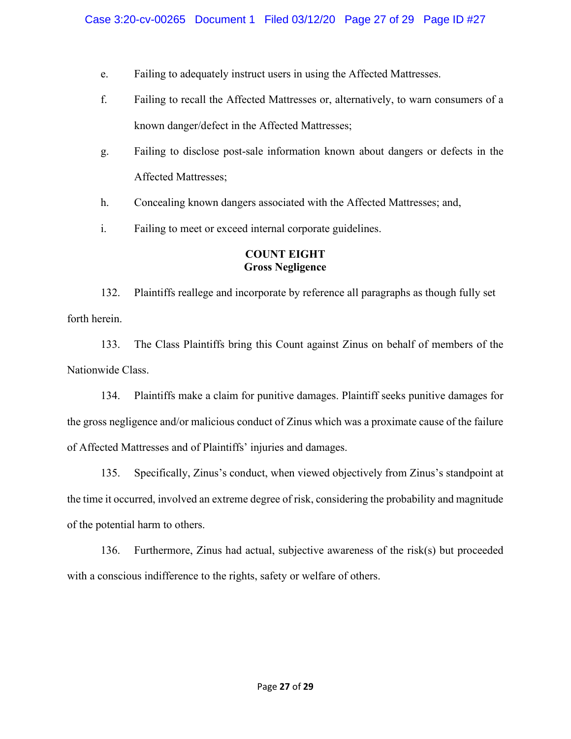- e. Failing to adequately instruct users in using the Affected Mattresses.
- f. Failing to recall the Affected Mattresses or, alternatively, to warn consumers of a known danger/defect in the Affected Mattresses;
- g. Failing to disclose post-sale information known about dangers or defects in the Affected Mattresses;
- h. Concealing known dangers associated with the Affected Mattresses; and,
- i. Failing to meet or exceed internal corporate guidelines.

# **COUNT EIGHT Gross Negligence**

132. Plaintiffs reallege and incorporate by reference all paragraphs as though fully set forth herein.

133. The Class Plaintiffs bring this Count against Zinus on behalf of members of the Nationwide Class.

134. Plaintiffs make a claim for punitive damages. Plaintiff seeks punitive damages for the gross negligence and/or malicious conduct of Zinus which was a proximate cause of the failure of Affected Mattresses and of Plaintiffs' injuries and damages.

135. Specifically, Zinus's conduct, when viewed objectively from Zinus's standpoint at the time it occurred, involved an extreme degree of risk, considering the probability and magnitude of the potential harm to others.

136. Furthermore, Zinus had actual, subjective awareness of the risk(s) but proceeded with a conscious indifference to the rights, safety or welfare of others.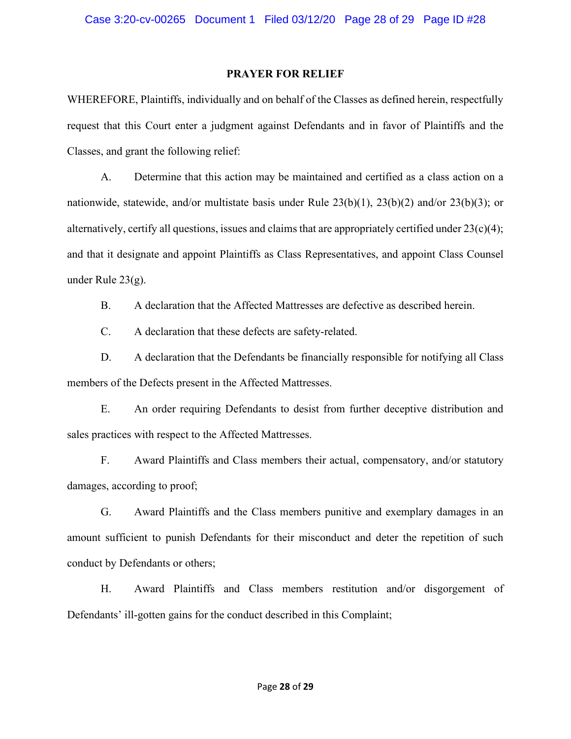#### **PRAYER FOR RELIEF**

WHEREFORE, Plaintiffs, individually and on behalf of the Classes as defined herein, respectfully request that this Court enter a judgment against Defendants and in favor of Plaintiffs and the Classes, and grant the following relief:

A. Determine that this action may be maintained and certified as a class action on a nationwide, statewide, and/or multistate basis under Rule 23(b)(1), 23(b)(2) and/or 23(b)(3); or alternatively, certify all questions, issues and claims that are appropriately certified under  $23(c)(4)$ ; and that it designate and appoint Plaintiffs as Class Representatives, and appoint Class Counsel under Rule 23(g).

B. A declaration that the Affected Mattresses are defective as described herein.

C. A declaration that these defects are safety-related.

D. A declaration that the Defendants be financially responsible for notifying all Class members of the Defects present in the Affected Mattresses.

E. An order requiring Defendants to desist from further deceptive distribution and sales practices with respect to the Affected Mattresses.

F. Award Plaintiffs and Class members their actual, compensatory, and/or statutory damages, according to proof;

G. Award Plaintiffs and the Class members punitive and exemplary damages in an amount sufficient to punish Defendants for their misconduct and deter the repetition of such conduct by Defendants or others;

H. Award Plaintiffs and Class members restitution and/or disgorgement of Defendants' ill-gotten gains for the conduct described in this Complaint;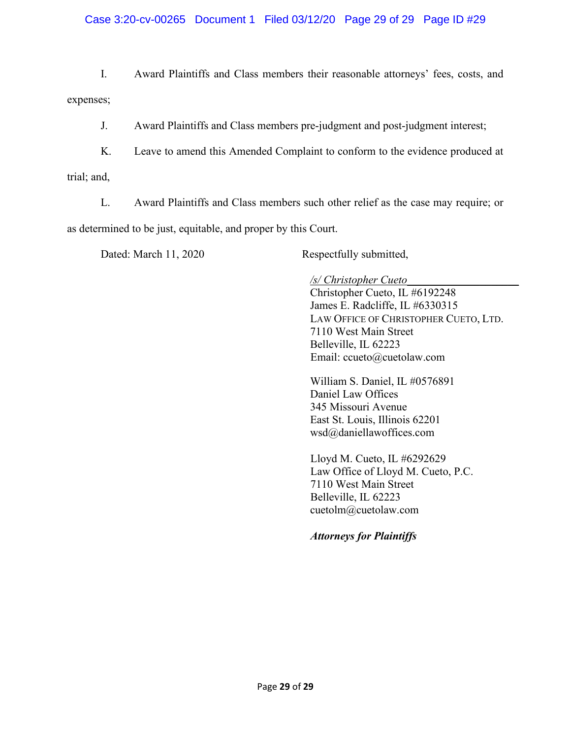## Case 3:20-cv-00265 Document 1 Filed 03/12/20 Page 29 of 29 Page ID #29

I. Award Plaintiffs and Class members their reasonable attorneys' fees, costs, and expenses;

J. Award Plaintiffs and Class members pre-judgment and post-judgment interest;

K. Leave to amend this Amended Complaint to conform to the evidence produced at trial; and,

L. Award Plaintiffs and Class members such other relief as the case may require; or as determined to be just, equitable, and proper by this Court.

Dated: March 11, 2020 Respectfully submitted,

*/s/ Christopher Cueto\_\_\_\_\_\_\_\_\_\_\_\_\_\_\_\_\_\_\_\_*

Christopher Cueto, IL #6192248 James E. Radcliffe, IL #6330315 LAW OFFICE OF CHRISTOPHER CUETO, LTD. 7110 West Main Street Belleville, IL 62223 Email: ccueto@cuetolaw.com

William S. Daniel, IL #0576891 Daniel Law Offices 345 Missouri Avenue East St. Louis, Illinois 62201 wsd@daniellawoffices.com

 Lloyd M. Cueto, IL #6292629 Law Office of Lloyd M. Cueto, P.C. 7110 West Main Street Belleville, IL 62223 cuetolm@cuetolaw.com

*Attorneys for Plaintiffs*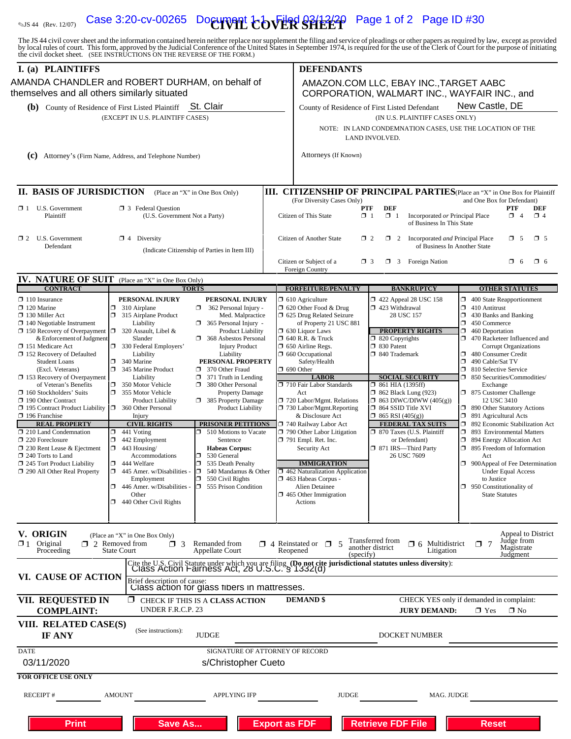# $\sigma_{\rm MS\,44\,~(Rev.~1207)}$  Case 3:20-cv-00265 Document  ${\rm \bf color}$   $\rm H\,R\,S\,H\,R\,S\,H\,R\,S\,A}$  Page 1 of 2 Page ID #30

The JS 44 civil cover sheet and the information contained herein neither replace nor supplement the filing and service of pleadings or other papers as required by law, except as provided<br>by local rules of court. This form, **I.** (a) PLAINTIFFS DEFENDANTS

| <b>I.</b> (a) PLAINTIFFS                                                                           |                                                                                                                                                                   | DEFENDANTS                                                                                                 | AMAZON.COM LLC, EBAY INC., TARGET AABC<br>CORPORATION, WALMART INC., WAYFAIR INC., and                                   |                                                                                |  |  |  |
|----------------------------------------------------------------------------------------------------|-------------------------------------------------------------------------------------------------------------------------------------------------------------------|------------------------------------------------------------------------------------------------------------|--------------------------------------------------------------------------------------------------------------------------|--------------------------------------------------------------------------------|--|--|--|
| themselves and all others similarly situated                                                       | AMANDA CHANDLER and ROBERT DURHAM, on behalf of                                                                                                                   |                                                                                                            |                                                                                                                          |                                                                                |  |  |  |
| St. Clair<br>(b) County of Residence of First Listed Plaintiff<br>(EXCEPT IN U.S. PLAINTIFF CASES) |                                                                                                                                                                   |                                                                                                            | New Castle, DE<br>County of Residence of First Listed Defendant                                                          |                                                                                |  |  |  |
|                                                                                                    |                                                                                                                                                                   |                                                                                                            | (IN U.S. PLAINTIFF CASES ONLY)                                                                                           |                                                                                |  |  |  |
|                                                                                                    |                                                                                                                                                                   |                                                                                                            | NOTE: IN LAND CONDEMNATION CASES, USE THE LOCATION OF THE<br>LAND INVOLVED.                                              |                                                                                |  |  |  |
|                                                                                                    | (C) Attorney's (Firm Name, Address, and Telephone Number)                                                                                                         | Attorneys (If Known)                                                                                       |                                                                                                                          |                                                                                |  |  |  |
|                                                                                                    |                                                                                                                                                                   |                                                                                                            |                                                                                                                          |                                                                                |  |  |  |
|                                                                                                    |                                                                                                                                                                   |                                                                                                            |                                                                                                                          |                                                                                |  |  |  |
| <b>II. BASIS OF JURISDICTION</b>                                                                   | (Place an "X" in One Box Only)                                                                                                                                    | III. CITIZENSHIP OF PRINCIPAL PARTIES (Place an "X" in One Box for Plaintiff<br>(For Diversity Cases Only) |                                                                                                                          | and One Box for Defendant)                                                     |  |  |  |
| U.S. Government<br>$\Box$ 1<br>Plaintiff                                                           | <b>1</b> 3 Federal Question<br>(U.S. Government Not a Party)                                                                                                      | Citizen of This State                                                                                      | <b>PTF</b><br><b>DEF</b><br>$\blacksquare$ 1<br>$\Box$ 1<br>Incorporated or Principal Place<br>of Business In This State | PTF<br>DEF<br>$\Box$ 4<br>$\Box$ 4                                             |  |  |  |
| $\Box$ 2 U.S. Government                                                                           | $\boxtimes$ 4 Diversity                                                                                                                                           | Citizen of Another State                                                                                   | Incorporated and Principal Place<br>$\Box$ 2<br>$\Box$ 2                                                                 | $\times$ 5<br>$\Box$ 5                                                         |  |  |  |
| Defendant                                                                                          | (Indicate Citizenship of Parties in Item III)                                                                                                                     |                                                                                                            | of Business In Another State                                                                                             |                                                                                |  |  |  |
|                                                                                                    |                                                                                                                                                                   | Citizen or Subject of a                                                                                    | $\Box$ 3 Foreign Nation<br>$\Box$ 3                                                                                      | $\Box$ 6<br>$\Box$ 6                                                           |  |  |  |
|                                                                                                    | <b>IV. NATURE OF SUIT</b> (Place an "X" in One Box Only)                                                                                                          | Foreign Country                                                                                            |                                                                                                                          |                                                                                |  |  |  |
| <b>CONTRACT</b>                                                                                    | <b>TORTS</b>                                                                                                                                                      | <b>FORFEITURE/PENALTY</b>                                                                                  | <b>BANKRUPTCY</b>                                                                                                        | <b>OTHER STATUTES</b>                                                          |  |  |  |
| $\Box$ 110 Insurance                                                                               | PERSONAL INJURY<br>PERSONAL INJURY                                                                                                                                | $\Box$ 610 Agriculture                                                                                     | 1422 Appeal 28 USC 158                                                                                                   | $\Box$ 400 State Reapportionment                                               |  |  |  |
| $\Box$ 120 Marine<br>$\Box$ 130 Miller Act                                                         | Ω.<br>310 Airplane<br>362 Personal Injury -<br>O.<br>315 Airplane Product<br>Med. Malpractice                                                                     | $\Box$ 620 Other Food & Drug<br><b>1 625 Drug Related Seizure</b>                                          | 423 Withdrawal<br>28 USC 157                                                                                             | $\Box$ 410 Antitrust<br>$\Box$ 430 Banks and Banking                           |  |  |  |
| $\Box$ 140 Negotiable Instrument                                                                   | Liability<br>$\Box$ 365 Personal Injury -                                                                                                                         | of Property 21 USC 881                                                                                     |                                                                                                                          | $\Box$ 450 Commerce                                                            |  |  |  |
| $\Box$ 150 Recovery of Overpayment $\Box$ 320 Assault, Libel &                                     | <b>Product Liability</b>                                                                                                                                          | $\Box$ 630 Liquor Laws                                                                                     | <b>PROPERTY RIGHTS</b><br>$\overline{\Box}$ 820 Copyrights                                                               | $\Box$ 460 Deportation<br>470 Racketeer Influenced and                         |  |  |  |
| & Enforcement of Judgment<br>151 Medicare Act                                                      | Slander<br>368 Asbestos Personal<br>330 Federal Employers'<br><b>Injury Product</b>                                                                               | <b>1 640 R.R. &amp; Truck</b><br>$\Box$ 650 Airline Regs.                                                  | □ 830 Patent                                                                                                             | <b>Corrupt Organizations</b>                                                   |  |  |  |
| $\Box$ 152 Recovery of Defaulted                                                                   | Liability<br>Liability                                                                                                                                            | $\Box$ 660 Occupational                                                                                    | □ 840 Trademark                                                                                                          | $\Box$ 480 Consumer Credit                                                     |  |  |  |
| <b>Student Loans</b><br>(Excl. Veterans)                                                           | $\Box$ 340 Marine<br>PERSONAL PROPERTY<br>345 Marine Product<br>370 Other Fraud<br>ο.                                                                             | Safety/Health<br>$\Box$ 690 Other                                                                          |                                                                                                                          | α.<br>490 Cable/Sat TV<br>$\Box$ 810 Selective Service                         |  |  |  |
| $\Box$ 153 Recovery of Overpayment                                                                 | Liability<br>$\Box$ 371 Truth in Lending                                                                                                                          | <b>LABOR</b>                                                                                               | <b>SOCIAL SECURITY</b>                                                                                                   | □ 850 Securities/Commodities/                                                  |  |  |  |
| of Veteran's Benefits<br>$\Box$ 160 Stockholders' Suits                                            | Ω.<br>350 Motor Vehicle<br>380 Other Personal<br>ο.<br>355 Motor Vehicle<br><b>Property Damage</b>                                                                | 710 Fair Labor Standards<br>Act                                                                            | $\Box$ 861 HIA (1395ff)<br>$\Box$ 862 Black Lung (923)                                                                   | Exchange<br>7 875 Customer Challenge                                           |  |  |  |
| 190 Other Contract                                                                                 | 385 Property Damage<br><b>Product Liability</b>                                                                                                                   | 720 Labor/Mgmt. Relations                                                                                  | $\Box$ 863 DIWC/DIWW (405(g))                                                                                            | 12 USC 3410                                                                    |  |  |  |
| $\Box$ 195 Contract Product Liability $\Box$ 360 Other Personal<br>$\Box$ 196 Franchise            | Product Liability<br>Injury                                                                                                                                       | $\Box$ 730 Labor/Mgmt.Reporting<br>& Disclosure Act                                                        | □ 864 SSID Title XVI<br>$\Box$ 865 RSI (405(g))                                                                          | 1 890 Other Statutory Actions<br>$\Box$ 891 Agricultural Acts                  |  |  |  |
| <b>REAL PROPERTY</b>                                                                               | <b>CIVIL RIGHTS</b><br>PRISONER PETITIONS                                                                                                                         | 740 Railway Labor Act                                                                                      | <b>FEDERAL TAX SUITS</b>                                                                                                 | □ 892 Economic Stabilization Act                                               |  |  |  |
| $\Box$ 210 Land Condemnation<br>$\Box$ 220 Foreclosure                                             | $\Box$ 510 Motions to Vacate<br>$\Box$ 441 Voting<br>σ<br>442 Employment<br>Sentence                                                                              | $\Box$ 790 Other Labor Litigation<br>$\Box$ 791 Empl. Ret. Inc.                                            | □ 870 Taxes (U.S. Plaintiff<br>or Defendant)                                                                             | 5 893 Environmental Matters<br>$\Box$ 894 Energy Allocation Act                |  |  |  |
| $\Box$ 230 Rent Lease & Ejectment                                                                  | 443 Housing/<br><b>Habeas Corpus:</b><br>$\Box$                                                                                                                   | Security Act                                                                                               | □ 871 IRS—Third Party                                                                                                    | 1 895 Freedom of Information                                                   |  |  |  |
| $\Box$ 240 Torts to Land                                                                           | Accommodations<br>530 General<br>σ                                                                                                                                |                                                                                                            | 26 USC 7609                                                                                                              | Act                                                                            |  |  |  |
| $\Box$ 245 Tort Product Liability<br>290 All Other Real Property                                   | $\Box$ 444 Welfare<br>535 Death Penalty<br>445 Amer. w/Disabilities -<br>π.<br>540 Mandamus & Other<br>о                                                          | <b>IMMIGRATION</b><br>$\Box$ 462 Naturalization Application                                                |                                                                                                                          | $\Box$ 900Appeal of Fee Determination<br><b>Under Equal Access</b>             |  |  |  |
|                                                                                                    | σ<br>Employment<br>550 Civil Rights                                                                                                                               | $\Box$ 463 Habeas Corpus -                                                                                 |                                                                                                                          | to Justice                                                                     |  |  |  |
|                                                                                                    | $\Box$ 446 Amer. w/Disabilities<br>555 Prison Condition<br>Other                                                                                                  | Alien Detainee<br>$\Box$ 465 Other Immigration                                                             |                                                                                                                          | $\Box$ 950 Constitutionality of<br><b>State Statutes</b>                       |  |  |  |
|                                                                                                    | $\Box$ 440 Other Civil Rights                                                                                                                                     | Actions                                                                                                    |                                                                                                                          |                                                                                |  |  |  |
|                                                                                                    |                                                                                                                                                                   |                                                                                                            |                                                                                                                          |                                                                                |  |  |  |
| V. ORIGIN<br>$\mathbf{R}$ 1 Original<br>Proceeding                                                 | (Place an "X" in One Box Only)<br>$\Box$ 2 Removed from<br>$\Box$ 3<br>Remanded from<br><b>State Court</b><br><b>Appellate Court</b>                              | $\Box$ 4 Reinstated or $\Box$ 5<br>Reopened                                                                | Transferred from<br>$\Box$ 6 Multidistrict<br>another district<br>Litigation                                             | Appeal to District<br>Judge from<br>$\Box$ 7<br>Magistrate                     |  |  |  |
|                                                                                                    |                                                                                                                                                                   | (specify)                                                                                                  |                                                                                                                          | Judgment                                                                       |  |  |  |
|                                                                                                    | Cite the U.S. Civil Statute under which you are filing. (Do not cite jurisdictional statutes unless diversity):<br>Class Action Fairness Act, 28 U.S.C. § 1332(d) |                                                                                                            |                                                                                                                          |                                                                                |  |  |  |
| VI. CAUSE OF ACTION                                                                                | Brief description of cause:<br>Class action for glass fibers in mattresses.                                                                                       |                                                                                                            |                                                                                                                          |                                                                                |  |  |  |
| VII. REQUESTED IN<br><b>COMPLAINT:</b>                                                             | <b>Z</b> CHECK IF THIS IS A CLASS ACTION<br>UNDER F.R.C.P. 23                                                                                                     | <b>DEMAND</b> \$                                                                                           | <b>JURY DEMAND:</b>                                                                                                      | CHECK YES only if demanded in complaint:<br>$\blacksquare$ Yes<br>$\square$ No |  |  |  |
| VIII. RELATED CASE(S)<br><b>IF ANY</b>                                                             | (See instructions):<br><b>JUDGE</b>                                                                                                                               |                                                                                                            | DOCKET NUMBER                                                                                                            |                                                                                |  |  |  |
| <b>DATE</b>                                                                                        |                                                                                                                                                                   | SIGNATURE OF ATTORNEY OF RECORD                                                                            |                                                                                                                          |                                                                                |  |  |  |
| 03/11/2020                                                                                         | s/Christopher Cueto                                                                                                                                               |                                                                                                            |                                                                                                                          |                                                                                |  |  |  |
| <b>FOR OFFICE USE ONLY</b>                                                                         |                                                                                                                                                                   |                                                                                                            |                                                                                                                          |                                                                                |  |  |  |
|                                                                                                    |                                                                                                                                                                   |                                                                                                            |                                                                                                                          |                                                                                |  |  |  |
| <b>RECEIPT#</b>                                                                                    | APPLYING IFP<br><b>AMOUNT</b>                                                                                                                                     | <b>JUDGE</b>                                                                                               | MAG. JUDGE                                                                                                               |                                                                                |  |  |  |
|                                                                                                    |                                                                                                                                                                   |                                                                                                            |                                                                                                                          |                                                                                |  |  |  |
| <b>Print</b>                                                                                       | Save As                                                                                                                                                           | <b>Export as FDF</b>                                                                                       | <b>Retrieve FDF File</b>                                                                                                 | <b>Reset</b>                                                                   |  |  |  |